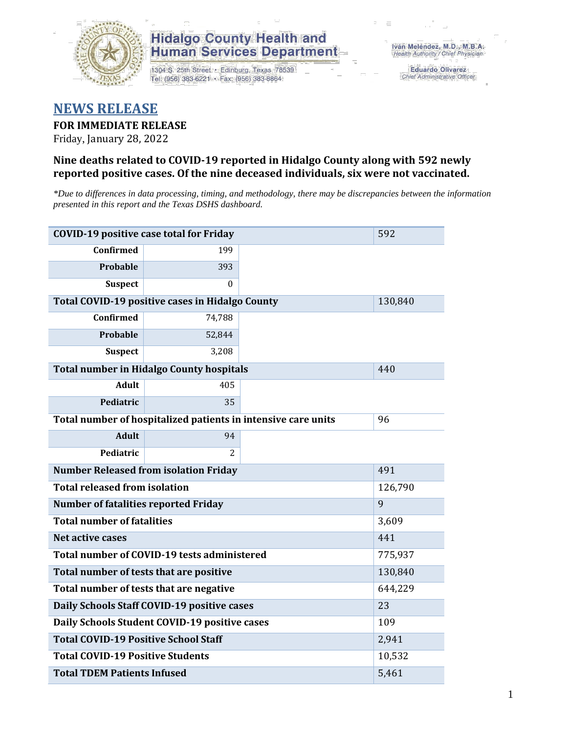

1304 S. 25th Street · Edinburg, Texas 78539 Tel: (956) 383-6221 · Fax: (956) 383-8864

**Eduardo Olivarez** Chief Administrative Officer

#### **NEWS RELEASE**

#### **FOR IMMEDIATE RELEASE**

Friday, January 28, 2022

#### **Nine deaths related to COVID-19 reported in Hidalgo County along with 592 newly reported positive cases. Of the nine deceased individuals, six were not vaccinated.**

*\*Due to differences in data processing, timing, and methodology, there may be discrepancies between the information presented in this report and the Texas DSHS dashboard.*

| <b>COVID-19 positive case total for Friday</b>                | 592                                               |  |         |  |  |  |
|---------------------------------------------------------------|---------------------------------------------------|--|---------|--|--|--|
| <b>Confirmed</b>                                              | 199                                               |  |         |  |  |  |
| Probable                                                      | 393                                               |  |         |  |  |  |
| <b>Suspect</b>                                                | $\Omega$                                          |  |         |  |  |  |
|                                                               | Total COVID-19 positive cases in Hidalgo County   |  | 130,840 |  |  |  |
| <b>Confirmed</b>                                              | 74,788                                            |  |         |  |  |  |
| Probable                                                      | 52,844                                            |  |         |  |  |  |
| <b>Suspect</b>                                                | 3,208                                             |  |         |  |  |  |
|                                                               | <b>Total number in Hidalgo County hospitals</b>   |  | 440     |  |  |  |
| <b>Adult</b>                                                  | 405                                               |  |         |  |  |  |
| Pediatric                                                     | 35                                                |  |         |  |  |  |
| Total number of hospitalized patients in intensive care units | 96                                                |  |         |  |  |  |
| <b>Adult</b>                                                  | 94                                                |  |         |  |  |  |
| Pediatric                                                     | 2                                                 |  |         |  |  |  |
| <b>Number Released from isolation Friday</b><br>491           |                                                   |  |         |  |  |  |
| <b>Total released from isolation</b>                          |                                                   |  | 126,790 |  |  |  |
| <b>Number of fatalities reported Friday</b>                   |                                                   |  | 9       |  |  |  |
| <b>Total number of fatalities</b>                             |                                                   |  | 3,609   |  |  |  |
| Net active cases                                              |                                                   |  | 441     |  |  |  |
|                                                               | Total number of COVID-19 tests administered       |  | 775,937 |  |  |  |
| Total number of tests that are positive                       |                                                   |  | 130,840 |  |  |  |
| Total number of tests that are negative                       |                                                   |  | 644,229 |  |  |  |
|                                                               | Daily Schools Staff COVID-19 positive cases       |  | 23      |  |  |  |
|                                                               | Daily Schools Student COVID-19 positive cases     |  | 109     |  |  |  |
| <b>Total COVID-19 Positive School Staff</b>                   |                                                   |  | 2,941   |  |  |  |
|                                                               | <b>Total COVID-19 Positive Students</b><br>10,532 |  |         |  |  |  |
| <b>Total TDEM Patients Infused</b>                            | 5,461                                             |  |         |  |  |  |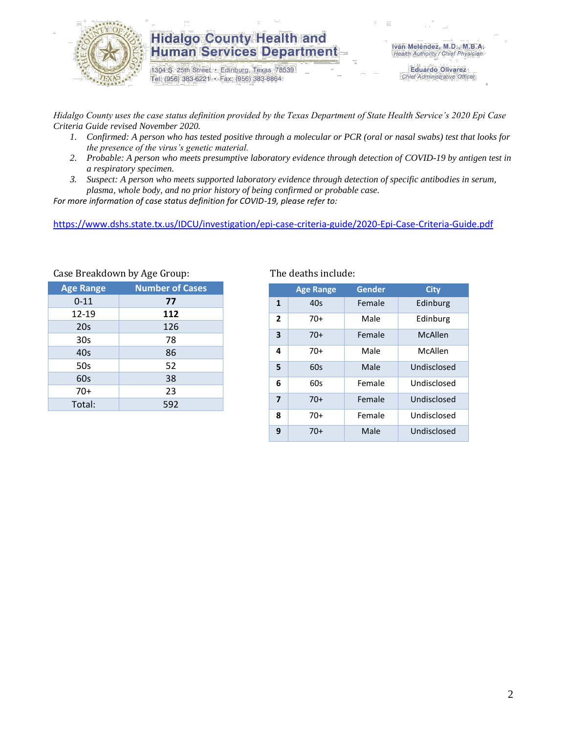

1304 S. 25th Street · Edinburg, Texas 78539 Tel: (956) 383-6221 · Fax: (956) 383-8864

**Eduardo Olivarez** Chief Administrative Officer

*Hidalgo County uses the case status definition provided by the Texas Department of State Health Service's 2020 Epi Case Criteria Guide revised November 2020.*

- *1. Confirmed: A person who has tested positive through a molecular or PCR (oral or nasal swabs) test that looks for the presence of the virus's genetic material.*
- *2. Probable: A person who meets presumptive laboratory evidence through detection of COVID-19 by antigen test in a respiratory specimen.*
- *3. Suspect: A person who meets supported laboratory evidence through detection of specific antibodies in serum, plasma, whole body, and no prior history of being confirmed or probable case.*

*For more information of case status definition for COVID-19, please refer to:*

<https://www.dshs.state.tx.us/IDCU/investigation/epi-case-criteria-guide/2020-Epi-Case-Criteria-Guide.pdf>

| dase Dreakdown by rige droup. |                        |  |  |  |  |  |  |
|-------------------------------|------------------------|--|--|--|--|--|--|
| <b>Age Range</b>              | <b>Number of Cases</b> |  |  |  |  |  |  |
| $0 - 11$                      | 77                     |  |  |  |  |  |  |
| 12-19                         | 112                    |  |  |  |  |  |  |
| 20s                           | 126                    |  |  |  |  |  |  |
| 30s                           | 78                     |  |  |  |  |  |  |
| 40s                           | 86                     |  |  |  |  |  |  |
| 50s                           | 52                     |  |  |  |  |  |  |
| 60s                           | 38                     |  |  |  |  |  |  |
| 70+                           | 23                     |  |  |  |  |  |  |
| Total:                        | 592                    |  |  |  |  |  |  |
|                               |                        |  |  |  |  |  |  |

Case Breakdown by Age Group: The deaths include:

|                | <b>Age Range</b> | Gender | <b>City</b> |
|----------------|------------------|--------|-------------|
| 1              | 40s              | Female | Edinburg    |
| $\overline{2}$ | $70+$            | Male   | Edinburg    |
| 3              | $70+$            | Female | McAllen     |
| 4              | $70+$            | Male   | McAllen     |
| 5              | 60s              | Male   | Undisclosed |
| 6              | 60s              | Female | Undisclosed |
| $\overline{7}$ | $70+$            | Female | Undisclosed |
| 8              | 70+              | Female | Undisclosed |
| 9              | 70+              | Male   | Undisclosed |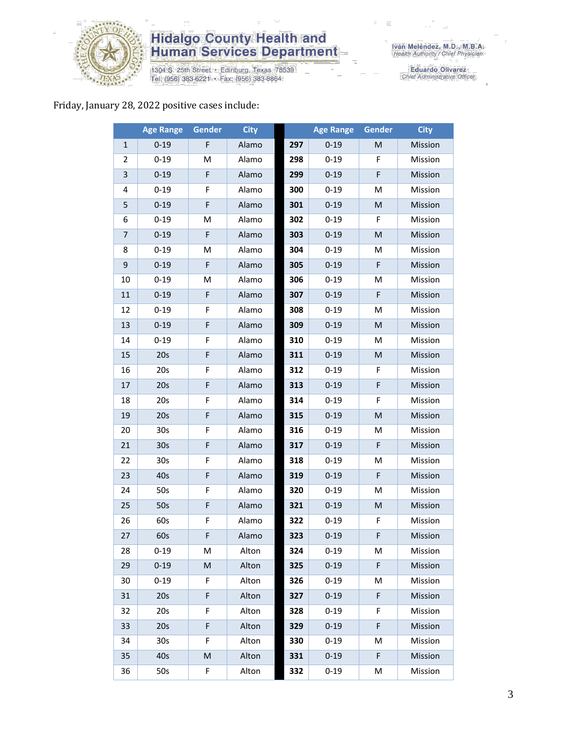

1304 S. 25th Street • Edinburg, Texas 78539<br>Tel: (956) 383-6221 • Fax: (956) 383-8864

Eduardo Olivarez<br>Chief Administrative Officer

#### Friday, January 28, 2022 positive cases include:

|                | <b>Age Range</b> | Gender      | <b>City</b> |     | <b>Age Range</b> | Gender | <b>City</b> |
|----------------|------------------|-------------|-------------|-----|------------------|--------|-------------|
| 1              | $0 - 19$         | F           | Alamo       | 297 | $0 - 19$         | M      | Mission     |
| $\overline{2}$ | $0 - 19$         | M           | Alamo       | 298 | $0 - 19$         | F      | Mission     |
| 3              | $0 - 19$         | F           | Alamo       | 299 | $0 - 19$         | F      | Mission     |
| 4              | $0 - 19$         | F           | Alamo       | 300 | $0 - 19$         | М      | Mission     |
| 5              | $0 - 19$         | F           | Alamo       | 301 | $0 - 19$         | M      | Mission     |
| 6              | $0 - 19$         | M           | Alamo       | 302 | $0 - 19$         | F      | Mission     |
| $\overline{7}$ | $0 - 19$         | $\mathsf F$ | Alamo       | 303 | $0 - 19$         | M      | Mission     |
| 8              | $0 - 19$         | м           | Alamo       | 304 | $0 - 19$         | M      | Mission     |
| 9              | $0 - 19$         | F           | Alamo       | 305 | $0 - 19$         | F      | Mission     |
| 10             | $0 - 19$         | M           | Alamo       | 306 | $0 - 19$         | M      | Mission     |
| 11             | $0 - 19$         | F           | Alamo       | 307 | $0 - 19$         | F      | Mission     |
| 12             | $0 - 19$         | F           | Alamo       | 308 | $0 - 19$         | M      | Mission     |
| 13             | $0 - 19$         | F           | Alamo       | 309 | $0 - 19$         | M      | Mission     |
| 14             | $0 - 19$         | F           | Alamo       | 310 | $0 - 19$         | M      | Mission     |
| 15             | 20s              | $\mathsf F$ | Alamo       | 311 | $0 - 19$         | M      | Mission     |
| 16             | 20s              | F           | Alamo       | 312 | $0 - 19$         | F      | Mission     |
| 17             | 20s              | F           | Alamo       | 313 | $0 - 19$         | F      | Mission     |
| 18             | 20s              | F           | Alamo       | 314 | $0 - 19$         | F      | Mission     |
| 19             | 20s              | $\mathsf F$ | Alamo       | 315 | $0 - 19$         | M      | Mission     |
| 20             | 30 <sub>s</sub>  | F           | Alamo       | 316 | $0 - 19$         | M      | Mission     |
| 21             | 30 <sub>s</sub>  | $\mathsf F$ | Alamo       | 317 | $0 - 19$         | F      | Mission     |
| 22             | 30 <sub>s</sub>  | F           | Alamo       | 318 | $0 - 19$         | M      | Mission     |
| 23             | 40s              | F           | Alamo       | 319 | $0 - 19$         | F      | Mission     |
| 24             | 50s              | F           | Alamo       | 320 | $0 - 19$         | M      | Mission     |
| 25             | 50s              | F           | Alamo       | 321 | $0 - 19$         | M      | Mission     |
| 26             | 60s              | F           | Alamo       | 322 | $0 - 19$         | F      | Mission     |
| 27             | 60s              | F           | Alamo       | 323 | $0 - 19$         | F      | Mission     |
| 28             | $0 - 19$         | M           | Alton       | 324 | $0 - 19$         | М      | Mission     |
| 29             | $0 - 19$         | M           | Alton       | 325 | $0 - 19$         | F      | Mission     |
| 30             | $0 - 19$         | F           | Alton       | 326 | $0 - 19$         | M      | Mission     |
| 31             | 20s              | F           | Alton       | 327 | $0 - 19$         | F      | Mission     |
| 32             | 20s              | F           | Alton       | 328 | $0 - 19$         | F      | Mission     |
| 33             | 20s              | F           | Alton       | 329 | $0 - 19$         | F      | Mission     |
| 34             | 30s              | F           | Alton       | 330 | $0 - 19$         | M      | Mission     |
| 35             | 40s              | ${\sf M}$   | Alton       | 331 | $0 - 19$         | F      | Mission     |
| 36             | 50s              | F           | Alton       | 332 | $0 - 19$         | M      | Mission     |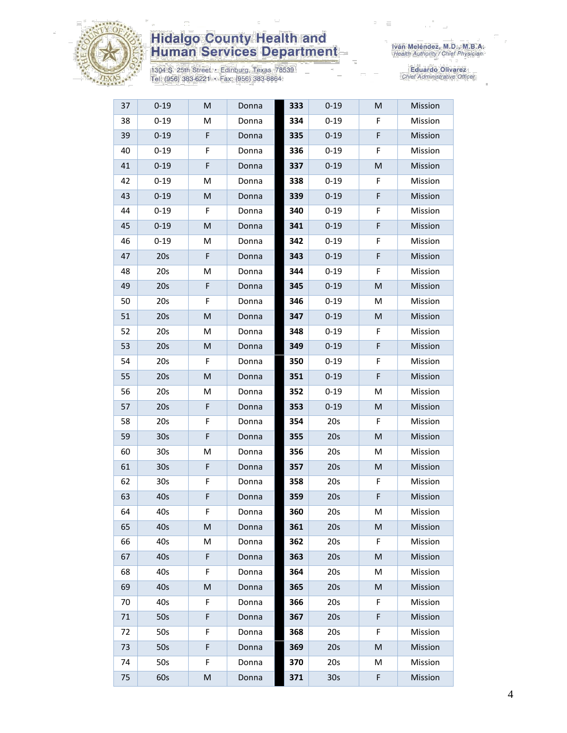

1304 S. 25th Street • Edinburg, Texas 78539<br>Tel: (956) 383-6221 • Fax: (956) 383-8864

| 37 | $0 - 19$        | M | Donna | 333 | $0 - 19$        | M | Mission |
|----|-----------------|---|-------|-----|-----------------|---|---------|
| 38 | $0 - 19$        | M | Donna | 334 | $0 - 19$        | F | Mission |
| 39 | $0 - 19$        | F | Donna | 335 | $0 - 19$        | F | Mission |
| 40 | $0 - 19$        | F | Donna | 336 | $0 - 19$        | F | Mission |
| 41 | $0 - 19$        | F | Donna | 337 | $0 - 19$        | M | Mission |
| 42 | $0 - 19$        | М | Donna | 338 | $0 - 19$        | F | Mission |
| 43 | $0 - 19$        | M | Donna | 339 | $0 - 19$        | F | Mission |
| 44 | $0 - 19$        | F | Donna | 340 | $0 - 19$        | F | Mission |
| 45 | $0 - 19$        | M | Donna | 341 | $0 - 19$        | F | Mission |
| 46 | $0 - 19$        | M | Donna | 342 | $0 - 19$        | F | Mission |
| 47 | 20s             | F | Donna | 343 | $0 - 19$        | F | Mission |
| 48 | 20s             | M | Donna | 344 | $0 - 19$        | F | Mission |
| 49 | 20s             | F | Donna | 345 | $0 - 19$        | M | Mission |
| 50 | 20s             | F | Donna | 346 | $0 - 19$        | M | Mission |
| 51 | 20s             | M | Donna | 347 | $0 - 19$        | M | Mission |
| 52 | 20s             | М | Donna | 348 | $0 - 19$        | F | Mission |
| 53 | 20s             | M | Donna | 349 | $0 - 19$        | F | Mission |
| 54 | 20s             | F | Donna | 350 | $0 - 19$        | F | Mission |
| 55 | 20s             | M | Donna | 351 | $0 - 19$        | F | Mission |
| 56 | 20s             | М | Donna | 352 | $0 - 19$        | м | Mission |
| 57 | 20s             | F | Donna | 353 | $0 - 19$        | M | Mission |
| 58 | 20s             | F | Donna | 354 | 20s             | F | Mission |
| 59 | 30 <sub>s</sub> | F | Donna | 355 | 20s             | M | Mission |
| 60 | 30 <sub>s</sub> | M | Donna | 356 | 20s             | M | Mission |
| 61 | 30 <sub>s</sub> | F | Donna | 357 | 20s             | M | Mission |
| 62 | 30 <sub>s</sub> | F | Donna | 358 | 20s             | F | Mission |
| 63 | 40s             | F | Donna | 359 | 20s             | F | Mission |
| 64 | 40s             | F | Donna | 360 | 20s             | M | Mission |
| 65 | 40s             | M | Donna | 361 | 20s             | M | Mission |
| 66 | 40s             | M | Donna | 362 | 20s             | F | Mission |
| 67 | 40s             | F | Donna | 363 | 20s             | М | Mission |
| 68 | 40s             | F | Donna | 364 | 20s             | м | Mission |
| 69 | 40s             | M | Donna | 365 | 20s             | M | Mission |
| 70 | 40s             | F | Donna | 366 | 20s             | F | Mission |
| 71 | 50s             | F | Donna | 367 | 20s             | F | Mission |
| 72 | 50s             | F | Donna | 368 | 20s             | F | Mission |
| 73 | 50s             | F | Donna | 369 | 20s             | M | Mission |
| 74 | 50s             | F | Donna | 370 | 20s             | M | Mission |
| 75 | 60s             | M | Donna | 371 | 30 <sub>s</sub> | F | Mission |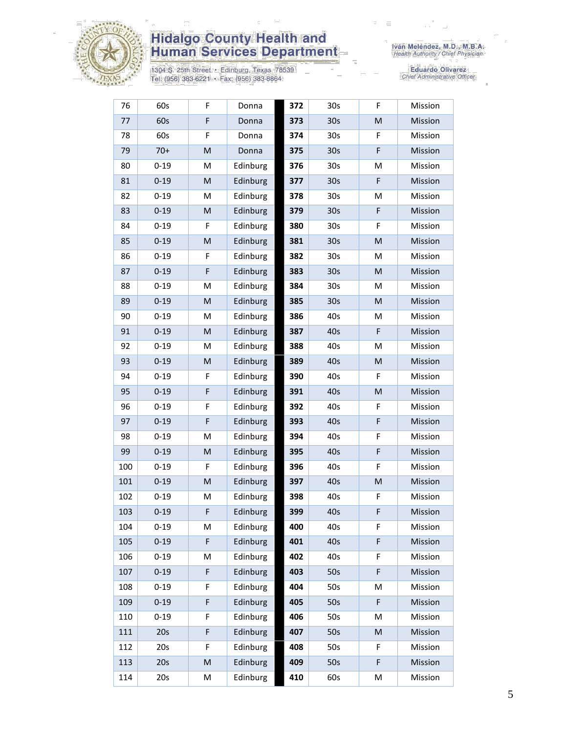

1304 S. 25th Street • Edinburg, Texas 78539<br>Tel: (956) 383-6221 • Fax: (956) 383-8864

| 76  | 60s      | F           | Donna    | 372 | 30 <sub>s</sub> | F         | Mission |
|-----|----------|-------------|----------|-----|-----------------|-----------|---------|
| 77  | 60s      | F           | Donna    | 373 | 30 <sub>s</sub> | M         | Mission |
| 78  | 60s      | F           | Donna    | 374 | 30 <sub>s</sub> | F         | Mission |
| 79  | $70+$    | M           | Donna    | 375 | 30 <sub>s</sub> | F         | Mission |
| 80  | $0 - 19$ | M           | Edinburg | 376 | 30 <sub>s</sub> | M         | Mission |
| 81  | $0 - 19$ | M           | Edinburg | 377 | 30 <sub>s</sub> | F         | Mission |
| 82  | $0 - 19$ | M           | Edinburg | 378 | 30s             | M         | Mission |
| 83  | $0 - 19$ | M           | Edinburg | 379 | 30 <sub>s</sub> | F         | Mission |
| 84  | $0 - 19$ | F           | Edinburg | 380 | 30 <sub>s</sub> | F         | Mission |
| 85  | $0 - 19$ | M           | Edinburg | 381 | 30 <sub>s</sub> | M         | Mission |
| 86  | $0 - 19$ | F           | Edinburg | 382 | 30 <sub>s</sub> | M         | Mission |
| 87  | $0 - 19$ | $\mathsf F$ | Edinburg | 383 | 30 <sub>s</sub> | M         | Mission |
| 88  | $0 - 19$ | M           | Edinburg | 384 | 30 <sub>s</sub> | M         | Mission |
| 89  | $0 - 19$ | M           | Edinburg | 385 | 30 <sub>s</sub> | M         | Mission |
| 90  | $0 - 19$ | M           | Edinburg | 386 | 40s             | M         | Mission |
| 91  | $0 - 19$ | M           | Edinburg | 387 | 40s             | F         | Mission |
| 92  | $0 - 19$ | M           | Edinburg | 388 | 40s             | M         | Mission |
| 93  | $0 - 19$ | M           | Edinburg | 389 | 40s             | M         | Mission |
| 94  | $0 - 19$ | F.          | Edinburg | 390 | 40s             | F.        | Mission |
| 95  | $0 - 19$ | F           | Edinburg | 391 | 40s             | ${\sf M}$ | Mission |
| 96  | $0 - 19$ | F           | Edinburg | 392 | 40s             | F         | Mission |
| 97  | $0 - 19$ | F           | Edinburg | 393 | 40s             | F         | Mission |
| 98  | $0 - 19$ | M           | Edinburg | 394 | 40s             | F         | Mission |
| 99  | $0 - 19$ | M           | Edinburg | 395 | 40s             | F         | Mission |
| 100 | $0 - 19$ | F           | Edinburg | 396 | 40s             | F         | Mission |
| 101 | $0 - 19$ | M           | Edinburg | 397 | 40s             | M         | Mission |
| 102 | $0 - 19$ | М           | Edinburg | 398 | 40s             | F         | Mission |
| 103 | $0 - 19$ | F           | Edinburg | 399 | 40s             | F         | Mission |
| 104 | $0 - 19$ | M           | Edinburg | 400 | 40s             | F         | Mission |
| 105 | $0 - 19$ | F           | Edinburg | 401 | 40s             | F         | Mission |
| 106 | $0 - 19$ | M           | Edinburg | 402 | 40s             | F         | Mission |
| 107 | $0 - 19$ | F           | Edinburg | 403 | 50s             | F         | Mission |
| 108 | $0 - 19$ | F           | Edinburg | 404 | 50s             | M         | Mission |
| 109 | $0 - 19$ | F           | Edinburg | 405 | 50s             | F         | Mission |
| 110 | $0 - 19$ | F           | Edinburg | 406 | 50s             | M         | Mission |
| 111 | 20s      | F           | Edinburg | 407 | 50s             | M         | Mission |
| 112 | 20s      | F           | Edinburg | 408 | 50s             | F         | Mission |
| 113 | 20s      | ${\sf M}$   | Edinburg | 409 | 50s             | F         | Mission |
| 114 | 20s      | M           | Edinburg | 410 | 60s             | M         | Mission |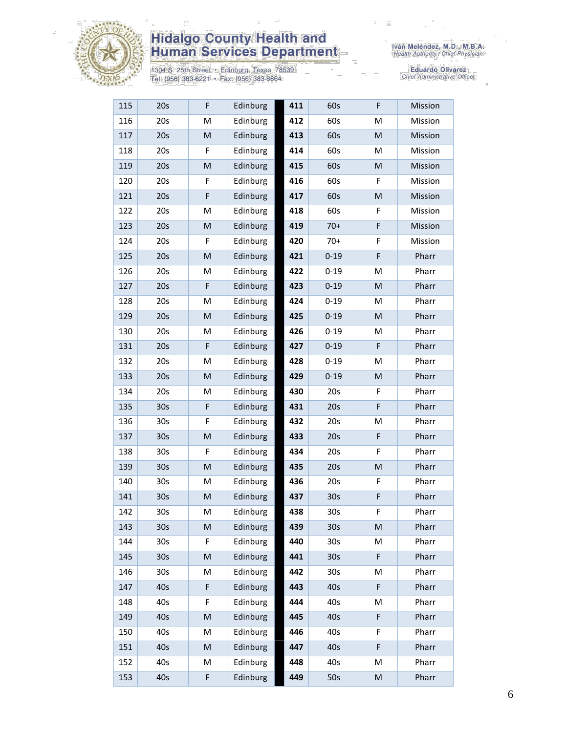

1304 S. 25th Street • Edinburg, Texas 78539<br>Tel: (956) 383-6221 • Fax: (956) 383-8864

| 115 | 20s             | F                                                                                                          | Edinburg | 411 | 60s             | F         | Mission |
|-----|-----------------|------------------------------------------------------------------------------------------------------------|----------|-----|-----------------|-----------|---------|
| 116 | 20s             | M                                                                                                          | Edinburg | 412 | 60s             | M         | Mission |
| 117 | 20s             | $\mathsf{M}% _{T}=\mathsf{M}_{T}\!\left( a,b\right) ,\ \mathsf{M}_{T}=\mathsf{M}_{T}\!\left( a,b\right) ,$ | Edinburg | 413 | 60s             | M         | Mission |
| 118 | 20s             | F                                                                                                          | Edinburg | 414 | 60s             | M         | Mission |
| 119 | 20s             | ${\sf M}$                                                                                                  | Edinburg | 415 | 60s             | M         | Mission |
| 120 | 20s             | F                                                                                                          | Edinburg | 416 | 60s             | F         | Mission |
| 121 | 20s             | F                                                                                                          | Edinburg | 417 | 60s             | M         | Mission |
| 122 | 20s             | M                                                                                                          | Edinburg | 418 | 60s             | F         | Mission |
| 123 | 20s             | M                                                                                                          | Edinburg | 419 | $70+$           | F         | Mission |
| 124 | 20s             | F                                                                                                          | Edinburg | 420 | $70+$           | F         | Mission |
| 125 | 20s             | ${\sf M}$                                                                                                  | Edinburg | 421 | $0 - 19$        | F         | Pharr   |
| 126 | 20s             | M                                                                                                          | Edinburg | 422 | $0 - 19$        | M         | Pharr   |
| 127 | 20s             | F                                                                                                          | Edinburg | 423 | $0 - 19$        | M         | Pharr   |
| 128 | 20s             | M                                                                                                          | Edinburg | 424 | $0 - 19$        | M         | Pharr   |
| 129 | 20s             | M                                                                                                          | Edinburg | 425 | $0 - 19$        | M         | Pharr   |
| 130 | 20s             | M                                                                                                          | Edinburg | 426 | $0 - 19$        | M         | Pharr   |
| 131 | 20s             | $\mathsf F$                                                                                                | Edinburg | 427 | $0 - 19$        | F         | Pharr   |
| 132 | 20s             | M                                                                                                          | Edinburg | 428 | $0 - 19$        | M         | Pharr   |
| 133 | 20s             | ${\sf M}$                                                                                                  | Edinburg | 429 | $0 - 19$        | ${\sf M}$ | Pharr   |
| 134 | 20s             | M                                                                                                          | Edinburg | 430 | 20s             | F         | Pharr   |
| 135 | 30 <sub>s</sub> | F                                                                                                          | Edinburg | 431 | 20s             | F         | Pharr   |
| 136 | 30 <sub>s</sub> | F                                                                                                          | Edinburg | 432 | 20s             | M         | Pharr   |
| 137 | 30 <sub>s</sub> | $\mathsf{M}% _{T}=\mathsf{M}_{T}\!\left( a,b\right) ,\ \mathsf{M}_{T}=\mathsf{M}_{T}\!\left( a,b\right) ,$ | Edinburg | 433 | 20s             | F         | Pharr   |
| 138 | 30 <sub>s</sub> | F                                                                                                          | Edinburg | 434 | 20s             | F         | Pharr   |
| 139 | 30 <sub>s</sub> | ${\sf M}$                                                                                                  | Edinburg | 435 | 20s             | M         | Pharr   |
| 140 | 30 <sub>s</sub> | M                                                                                                          | Edinburg | 436 | 20s             | F         | Pharr   |
| 141 | 30 <sub>s</sub> | ${\sf M}$                                                                                                  | Edinburg | 437 | 30s             | F         | Pharr   |
| 142 | 30 <sub>s</sub> | M                                                                                                          | Edinburg | 438 | 30 <sub>s</sub> | F         | Pharr   |
| 143 | 30 <sub>s</sub> | M                                                                                                          | Edinburg | 439 | 30 <sub>s</sub> | M         | Pharr   |
| 144 | 30s             | F                                                                                                          | Edinburg | 440 | 30 <sub>s</sub> | M         | Pharr   |
| 145 | 30 <sub>s</sub> | ${\sf M}$                                                                                                  | Edinburg | 441 | 30 <sub>s</sub> | F         | Pharr   |
| 146 | 30s             | M                                                                                                          | Edinburg | 442 | 30 <sub>s</sub> | M         | Pharr   |
| 147 | 40s             | $\mathsf F$                                                                                                | Edinburg | 443 | 40s             | F         | Pharr   |
| 148 | 40s             | F                                                                                                          | Edinburg | 444 | 40s             | M         | Pharr   |
| 149 | 40s             | $\mathsf{M}% _{T}=\mathsf{M}_{T}\!\left( a,b\right) ,\ \mathsf{M}_{T}=\mathsf{M}_{T}\!\left( a,b\right) ,$ | Edinburg | 445 | 40s             | F         | Pharr   |
| 150 | 40s             | M                                                                                                          | Edinburg | 446 | 40s             | F         | Pharr   |
| 151 | 40s             | M                                                                                                          | Edinburg | 447 | 40s             | F         | Pharr   |
| 152 | 40s             | M                                                                                                          | Edinburg | 448 | 40s             | M         | Pharr   |
| 153 | 40s             | F                                                                                                          | Edinburg | 449 | 50s             | M         | Pharr   |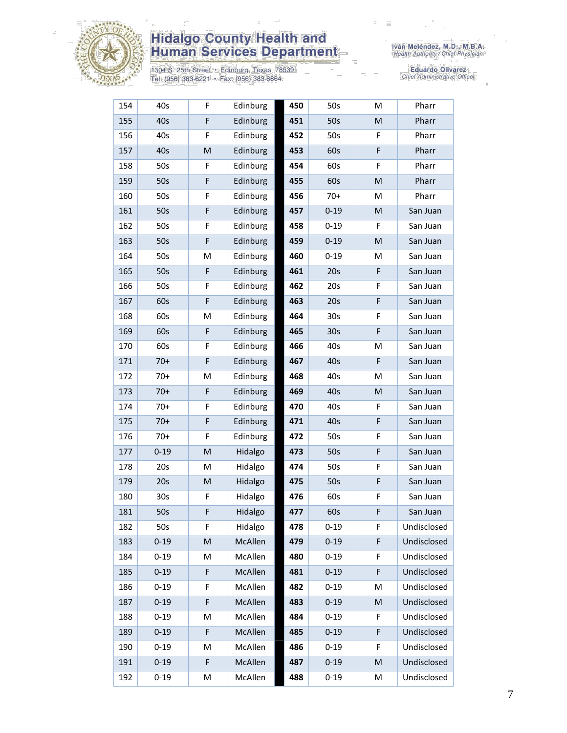

1304 S. 25th Street • Edinburg, Texas 78539<br>Tel: (956) 383-6221 • Fax: (956) 383-8864

| 154 | 40s             | F           | Edinburg | 450 | 50s             | M  | Pharr       |
|-----|-----------------|-------------|----------|-----|-----------------|----|-------------|
| 155 | 40s             | F           | Edinburg | 451 | 50s             | M  | Pharr       |
| 156 | 40s             | F           | Edinburg | 452 | 50s             | F  | Pharr       |
| 157 | 40s             | M           | Edinburg | 453 | 60s             | F  | Pharr       |
| 158 | 50s             | F           | Edinburg | 454 | 60s             | F  | Pharr       |
| 159 | 50s             | $\mathsf F$ | Edinburg | 455 | 60s             | M  | Pharr       |
| 160 | 50s             | F           | Edinburg | 456 | $70+$           | M  | Pharr       |
| 161 | 50s             | F           | Edinburg | 457 | $0 - 19$        | M  | San Juan    |
| 162 | 50s             | F           | Edinburg | 458 | $0 - 19$        | F. | San Juan    |
| 163 | 50s             | F           | Edinburg | 459 | $0 - 19$        | M  | San Juan    |
| 164 | 50s             | M           | Edinburg | 460 | $0 - 19$        | м  | San Juan    |
| 165 | 50s             | F           | Edinburg | 461 | 20s             | F  | San Juan    |
| 166 | 50s             | F           | Edinburg | 462 | 20s             | F  | San Juan    |
| 167 | 60s             | F           | Edinburg | 463 | 20s             | F  | San Juan    |
| 168 | 60s             | M           | Edinburg | 464 | 30 <sub>s</sub> | F  | San Juan    |
| 169 | 60s             | F           | Edinburg | 465 | 30 <sub>s</sub> | F  | San Juan    |
| 170 | 60s             | F           | Edinburg | 466 | 40s             | M  | San Juan    |
| 171 | $70+$           | F           | Edinburg | 467 | 40s             | F  | San Juan    |
| 172 | $70+$           | M           | Edinburg | 468 | 40s             | M  | San Juan    |
| 173 | $70+$           | F           | Edinburg | 469 | 40s             | M  | San Juan    |
| 174 | $70+$           | F           | Edinburg | 470 | 40s             | F  | San Juan    |
| 175 | $70+$           | F           | Edinburg | 471 | 40s             | F  | San Juan    |
| 176 | $70+$           | F           | Edinburg | 472 | 50s             | F  | San Juan    |
| 177 | $0 - 19$        | M           | Hidalgo  | 473 | 50s             | F  | San Juan    |
| 178 | 20s             | M           | Hidalgo  | 474 | 50s             | F  | San Juan    |
| 179 | 20s             | ${\sf M}$   | Hidalgo  | 475 | 50s             | F  | San Juan    |
| 180 | 30 <sub>s</sub> | F           | Hidalgo  | 476 | 60s             | F  | San Juan    |
| 181 | 50s             | F           | Hidalgo  | 477 | 60s             | F  | San Juan    |
| 182 | 50s             | F           | Hidalgo  | 478 | $0 - 19$        | F  | Undisclosed |
| 183 | $0 - 19$        | ${\sf M}$   | McAllen  | 479 | $0 - 19$        | F  | Undisclosed |
| 184 | $0 - 19$        | M           | McAllen  | 480 | $0 - 19$        | F  | Undisclosed |
| 185 | $0 - 19$        | F           | McAllen  | 481 | $0 - 19$        | F  | Undisclosed |
| 186 | $0 - 19$        | F           | McAllen  | 482 | $0 - 19$        | M  | Undisclosed |
| 187 | $0 - 19$        | F           | McAllen  | 483 | $0 - 19$        | M  | Undisclosed |
| 188 | $0 - 19$        | M           | McAllen  | 484 | $0 - 19$        | F  | Undisclosed |
| 189 | $0 - 19$        | $\mathsf F$ | McAllen  | 485 | $0 - 19$        | F  | Undisclosed |
| 190 | $0 - 19$        | M           | McAllen  | 486 | $0 - 19$        | F  | Undisclosed |
| 191 | $0 - 19$        | $\mathsf F$ | McAllen  | 487 | $0 - 19$        | M  | Undisclosed |
| 192 | $0 - 19$        | M           | McAllen  | 488 | $0 - 19$        | M  | Undisclosed |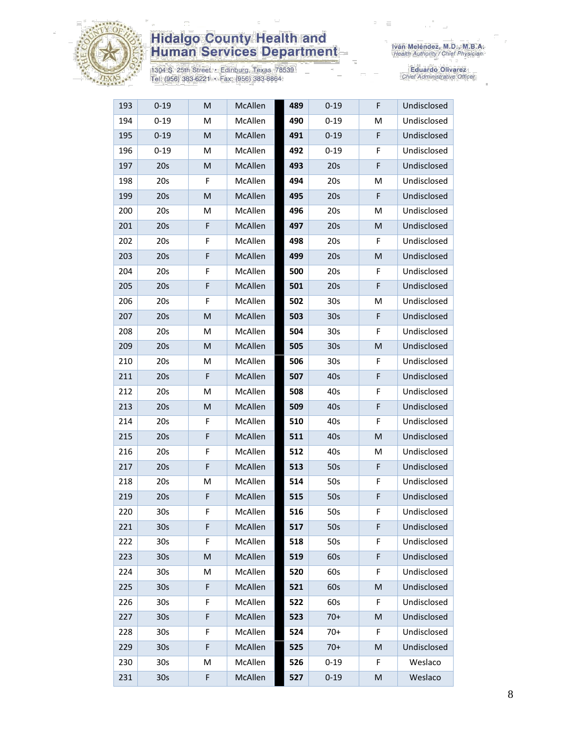

1304 S. 25th Street • Edinburg, Texas 78539<br>Tel: (956) 383-6221 • Fax: (956) 383-8864

| 193 | $0 - 19$        | M           | McAllen | 489 | $0 - 19$        | F | Undisclosed |
|-----|-----------------|-------------|---------|-----|-----------------|---|-------------|
| 194 | $0 - 19$        | M           | McAllen | 490 | $0 - 19$        | M | Undisclosed |
| 195 | $0 - 19$        | M           | McAllen | 491 | $0 - 19$        | F | Undisclosed |
| 196 | $0 - 19$        | M           | McAllen | 492 | $0 - 19$        | F | Undisclosed |
| 197 | 20s             | M           | McAllen | 493 | 20s             | F | Undisclosed |
| 198 | 20s             | F           | McAllen | 494 | 20s             | M | Undisclosed |
| 199 | 20s             | M           | McAllen | 495 | 20s             | F | Undisclosed |
| 200 | 20s             | M           | McAllen | 496 | 20s             | М | Undisclosed |
| 201 | 20s             | $\mathsf F$ | McAllen | 497 | 20s             | M | Undisclosed |
| 202 | 20s             | F           | McAllen | 498 | 20s             | F | Undisclosed |
| 203 | 20s             | $\mathsf F$ | McAllen | 499 | 20s             | M | Undisclosed |
| 204 | 20s             | F           | McAllen | 500 | 20s             | F | Undisclosed |
| 205 | 20s             | $\mathsf F$ | McAllen | 501 | 20s             | F | Undisclosed |
| 206 | 20s             | F           | McAllen | 502 | 30 <sub>s</sub> | М | Undisclosed |
| 207 | 20s             | ${\sf M}$   | McAllen | 503 | 30 <sub>s</sub> | F | Undisclosed |
| 208 | 20s             | M           | McAllen | 504 | 30s             | F | Undisclosed |
| 209 | 20s             | M           | McAllen | 505 | 30 <sub>s</sub> | M | Undisclosed |
| 210 | 20s             | M           | McAllen | 506 | 30s             | F | Undisclosed |
| 211 | 20s             | F           | McAllen | 507 | 40s             | F | Undisclosed |
| 212 | 20s             | M           | McAllen | 508 | 40s             | F | Undisclosed |
| 213 | 20s             | M           | McAllen | 509 | 40s             | F | Undisclosed |
| 214 | 20s             | F           | McAllen | 510 | 40s             | F | Undisclosed |
| 215 | 20s             | $\mathsf F$ | McAllen | 511 | 40s             | M | Undisclosed |
| 216 | 20s             | F           | McAllen | 512 | 40s             | M | Undisclosed |
| 217 | 20s             | $\mathsf F$ | McAllen | 513 | 50s             | F | Undisclosed |
| 218 | 20s             | M           | McAllen | 514 | 50s             | F | Undisclosed |
| 219 | 20s             | F           | McAllen | 515 | 50s             | F | Undisclosed |
| 220 | 30s             | F           | McAllen | 516 | 50s             | F | Undisclosed |
| 221 | 30 <sub>s</sub> | F           | McAllen | 517 | 50s             | F | Undisclosed |
| 222 | 30s             | F           | McAllen | 518 | 50s             | F | Undisclosed |
| 223 | 30 <sub>s</sub> | M           | McAllen | 519 | 60s             | F | Undisclosed |
| 224 | 30s             | M           | McAllen | 520 | 60s             | F | Undisclosed |
| 225 | 30 <sub>s</sub> | $\mathsf F$ | McAllen | 521 | 60s             | M | Undisclosed |
| 226 | 30s             | F           | McAllen | 522 | 60s             | F | Undisclosed |
| 227 | 30 <sub>s</sub> | $\mathsf F$ | McAllen | 523 | $70+$           | M | Undisclosed |
| 228 | 30s             | F           | McAllen | 524 | $70+$           | F | Undisclosed |
| 229 | 30 <sub>s</sub> | $\mathsf F$ | McAllen | 525 | $70+$           | M | Undisclosed |
| 230 | 30s             | M           | McAllen | 526 | $0 - 19$        | F | Weslaco     |
| 231 | 30 <sub>s</sub> | F           | McAllen | 527 | $0 - 19$        | M | Weslaco     |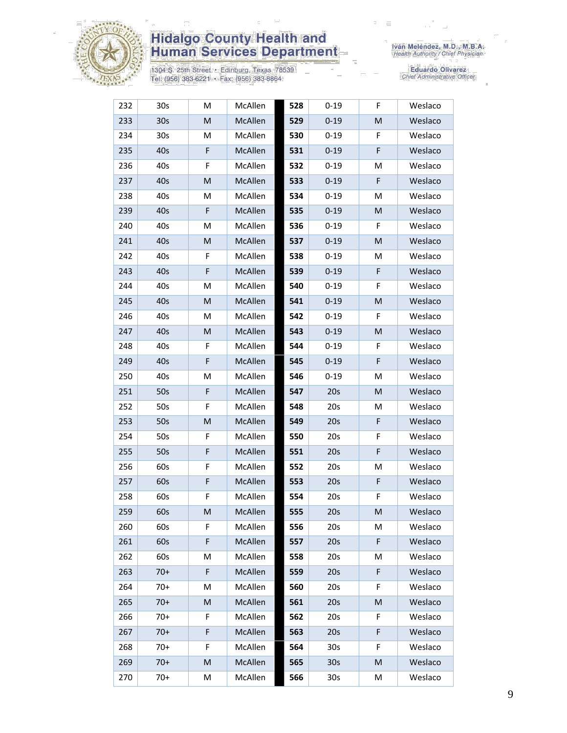

1304 S. 25th Street • Edinburg, Texas 78539<br>Tel: (956) 383-6221 • Fax: (956) 383-8864

| 232 | 30 <sub>s</sub> | M           | McAllen | 528 | $0 - 19$        | F  | Weslaco |
|-----|-----------------|-------------|---------|-----|-----------------|----|---------|
| 233 | 30 <sub>s</sub> | ${\sf M}$   | McAllen | 529 | $0 - 19$        | M  | Weslaco |
| 234 | 30s             | М           | McAllen | 530 | $0 - 19$        | F  | Weslaco |
| 235 | 40s             | F           | McAllen | 531 | $0 - 19$        | F  | Weslaco |
| 236 | 40s             | F           | McAllen | 532 | $0 - 19$        | M  | Weslaco |
| 237 | 40s             | ${\sf M}$   | McAllen | 533 | $0 - 19$        | F  | Weslaco |
| 238 | 40s             | М           | McAllen | 534 | $0 - 19$        | M  | Weslaco |
| 239 | 40s             | F           | McAllen | 535 | $0 - 19$        | M  | Weslaco |
| 240 | 40s             | M           | McAllen | 536 | $0 - 19$        | F. | Weslaco |
| 241 | 40s             | M           | McAllen | 537 | $0 - 19$        | M  | Weslaco |
| 242 | 40s             | F           | McAllen | 538 | $0 - 19$        | M  | Weslaco |
| 243 | 40s             | $\mathsf F$ | McAllen | 539 | $0 - 19$        | F  | Weslaco |
| 244 | 40s             | M           | McAllen | 540 | $0 - 19$        | F  | Weslaco |
| 245 | 40s             | M           | McAllen | 541 | $0 - 19$        | M  | Weslaco |
| 246 | 40s             | M           | McAllen | 542 | $0 - 19$        | F  | Weslaco |
| 247 | 40s             | M           | McAllen | 543 | $0 - 19$        | M  | Weslaco |
| 248 | 40s             | F           | McAllen | 544 | $0 - 19$        | F  | Weslaco |
| 249 | 40s             | $\mathsf F$ | McAllen | 545 | $0 - 19$        | F  | Weslaco |
| 250 | 40s             | M           | McAllen | 546 | $0 - 19$        | M  | Weslaco |
| 251 | 50s             | $\mathsf F$ | McAllen | 547 | 20s             | M  | Weslaco |
| 252 | 50s             | F           | McAllen | 548 | 20s             | M  | Weslaco |
| 253 | 50s             | M           | McAllen | 549 | 20s             | F  | Weslaco |
| 254 | 50s             | F           | McAllen | 550 | 20s             | F  | Weslaco |
| 255 | 50s             | $\mathsf F$ | McAllen | 551 | 20s             | F  | Weslaco |
| 256 | 60s             | F           | McAllen | 552 | 20s             | М  | Weslaco |
| 257 | 60s             | $\mathsf F$ | McAllen | 553 | 20s             | F  | Weslaco |
| 258 | 60s             | F           | McAllen | 554 | 20s             | F  | Weslaco |
| 259 | 60s             | M           | McAllen | 555 | 20s             | M  | Weslaco |
| 260 | 60s             | F           | McAllen | 556 | 20s             | M  | Weslaco |
| 261 | 60s             | $\mathsf F$ | McAllen | 557 | 20s             | F  | Weslaco |
| 262 | 60s             | M           | McAllen | 558 | 20s             | M  | Weslaco |
| 263 | $70+$           | F           | McAllen | 559 | 20s             | F  | Weslaco |
| 264 | $70+$           | M           | McAllen | 560 | 20s             | F  | Weslaco |
| 265 | $70+$           | M           | McAllen | 561 | 20s             | M  | Weslaco |
| 266 | $70+$           | F           | McAllen | 562 | 20s             | F  | Weslaco |
| 267 | $70+$           | $\mathsf F$ | McAllen | 563 | 20s             | F  | Weslaco |
| 268 | $70+$           | F           | McAllen | 564 | 30 <sub>s</sub> | F  | Weslaco |
| 269 | $70+$           | M           | McAllen | 565 | 30 <sub>s</sub> | M  | Weslaco |
| 270 | $70+$           | M           | McAllen | 566 | 30s             | M  | Weslaco |